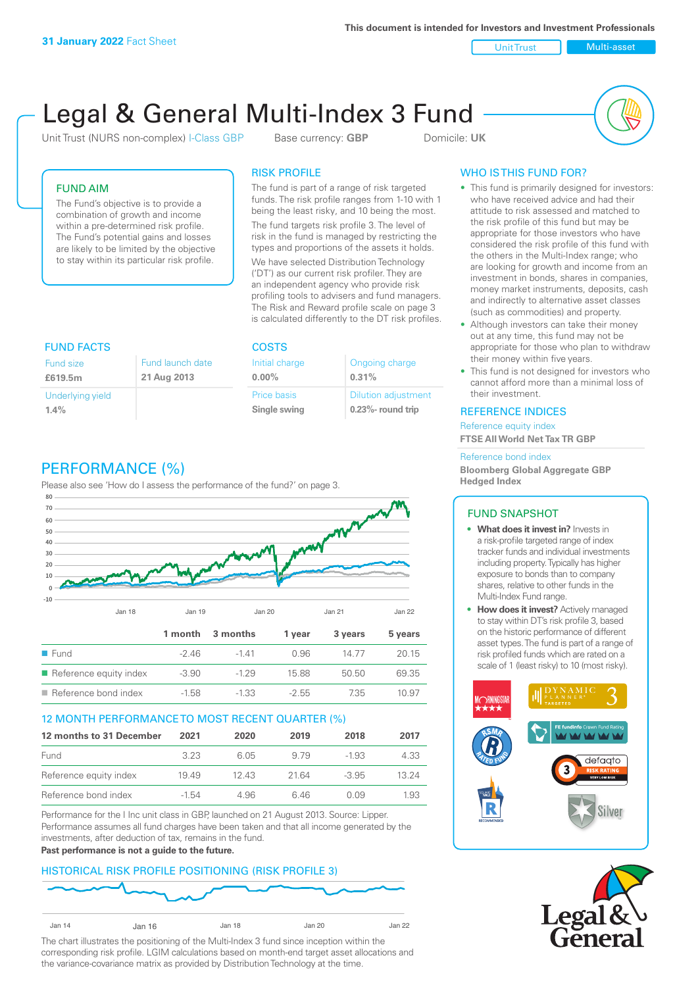**This document is intended for Investors and Investment Professionals**

Unit Trust Nulti-asset

# Legal & General Multi-Index 3 Fund

Unit Trust (NURS non-complex) I-Class GBP Base currency: **GBP** Domicile: UK



## FUND AIM

The Fund's objective is to provide a combination of growth and income within a pre-determined risk profile. The Fund's potential gains and losses are likely to be limited by the objective to stay within its particular risk profile.

## RISK PROFILE

The fund is part of a range of risk targeted funds. The risk profile ranges from 1-10 with 1 being the least risky, and 10 being the most.

The fund targets risk profile 3. The level of risk in the fund is managed by restricting the types and proportions of the assets it holds. We have selected Distribution Technology ('DT') as our current risk profiler. They are an independent agency who provide risk profiling tools to advisers and fund managers. The Risk and Reward profile scale on page 3 is calculated differently to the DT risk profiles.

| <b>FUND FACTS</b> |                  | <b>COSTS</b>   |                            |  |
|-------------------|------------------|----------------|----------------------------|--|
| <b>Fund size</b>  | Fund launch date | Initial charge | Ongoing charge             |  |
| £619.5m           | 21 Aug 2013      | $0.00\%$       | 0.31%                      |  |
| Underlying yield  |                  | Price basis    | <b>Dilution adjustment</b> |  |
| 1.4%              |                  | Single swing   | $0.23\%$ - round trip      |  |

# PERFORMANCE (%)

Please also see 'How do I assess the performance of the fund?' on page 3.



#### 12 MONTH PERFORMANCE TO MOST RECENT QUARTER (%)

| 12 months to 31 December | 2021    | 2020  | 2019  | 2018    | 2017  |
|--------------------------|---------|-------|-------|---------|-------|
| Fund                     | 323     | 6.05  | 9.79  | -1.93   | 4.33  |
| Reference equity index   | 1949    | 12.43 | 21.64 | $-3.95$ | 13 24 |
| Reference bond index     | $-1.54$ | 4.96  | 646   | O 0.9   | 1.93  |

Performance for the I Inc unit class in GBP, launched on 21 August 2013. Source: Lipper. Performance assumes all fund charges have been taken and that all income generated by the investments, after deduction of tax, remains in the fund.

#### **Past performance is not a guide to the future.**

#### HISTORICAL RISK PROFILE POSITIONING (RISK PROFILE 3)



The chart illustrates the positioning of the Multi-Index 3 fund since inception within the corresponding risk profile. LGIM calculations based on month-end target asset allocations and the variance-covariance matrix as provided by Distribution Technology at the time.

## WHO IS THIS FUND FOR?

- This fund is primarily designed for investors: who have received advice and had their attitude to risk assessed and matched to the risk profile of this fund but may be appropriate for those investors who have considered the risk profile of this fund with the others in the Multi-Index range; who are looking for growth and income from an investment in bonds, shares in companies, money market instruments, deposits, cash and indirectly to alternative asset classes (such as commodities) and property.
- Although investors can take their money out at any time, this fund may not be appropriate for those who plan to withdraw their money within five years.
- This fund is not designed for investors who cannot afford more than a minimal loss of their investment.

#### REFERENCE INDICES

Reference equity index **FTSE All World Net Tax TR GBP**

#### Reference bond index

**Bloomberg Global Aggregate GBP Hedged Index**

#### FUND SNAPSHOT

- **• What does it invest in?** Invests in a risk-profile targeted range of index tracker funds and individual investments including property. Typically has higher exposure to bonds than to company shares, relative to other funds in the Multi-Index Fund range.
- **• How does it invest?** Actively managed to stay within DT's risk profile 3, based on the historic performance of different asset types. The fund is part of a range of risk profiled funds which are rated on a scale of 1 (least risky) to 10 (most risky).



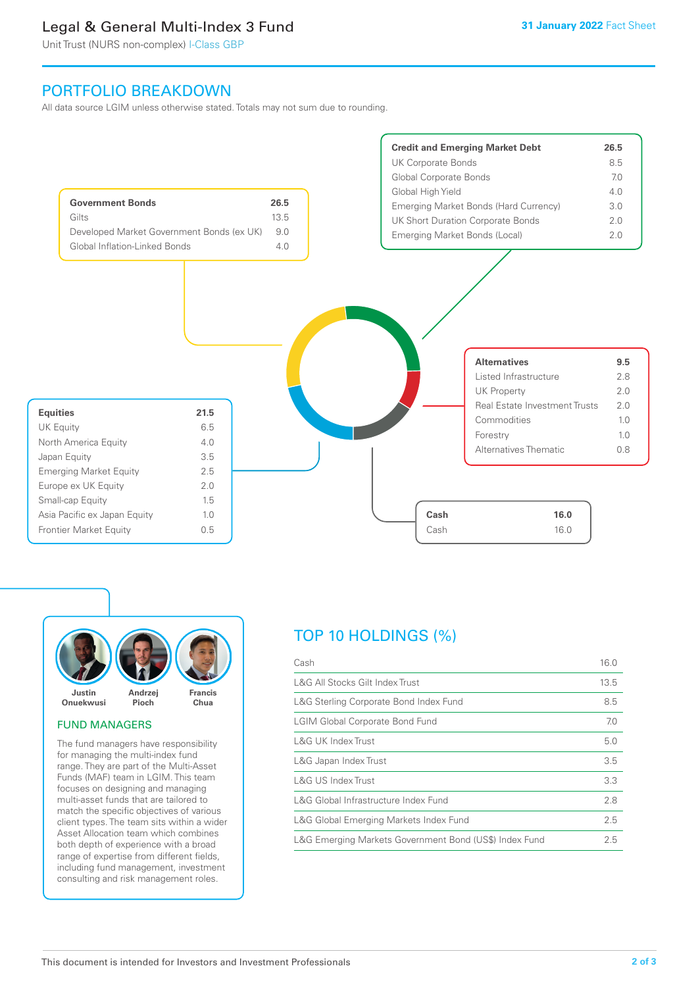# Legal & General Multi-Index 3 Fund

Unit Trust (NURS non-complex) I-Class GBP

# PORTFOLIO BREAKDOWN

All data source LGIM unless otherwise stated. Totals may not sum due to rounding.





#### FUND MANAGERS

The fund managers have responsibility for managing the multi-index fund range. They are part of the Multi-Asset Funds (MAF) team in LGIM. This team focuses on designing and managing multi-asset funds that are tailored to match the specific objectives of various client types. The team sits within a wider Asset Allocation team which combines both depth of experience with a broad range of expertise from different fields, including fund management, investment consulting and risk management roles.

# TOP 10 HOLDINGS (%)

| Cash                                                   | 16.0 |
|--------------------------------------------------------|------|
| L&G All Stocks Gilt Index Trust                        | 13.5 |
| L&G Sterling Corporate Bond Index Fund                 | 8.5  |
| <b>LGIM Global Corporate Bond Fund</b>                 | 7.0  |
| <b>L&amp;G UK Index Trust</b>                          | 5.0  |
| L&G Japan Index Trust                                  | 3.5  |
| <b>L&amp;G US Index Trust</b>                          | 3.3  |
| L&G Global Infrastructure Index Fund                   | 2.8  |
| L&G Global Emerging Markets Index Fund                 | 2.5  |
| L&G Emerging Markets Government Bond (US\$) Index Fund | 2.5  |